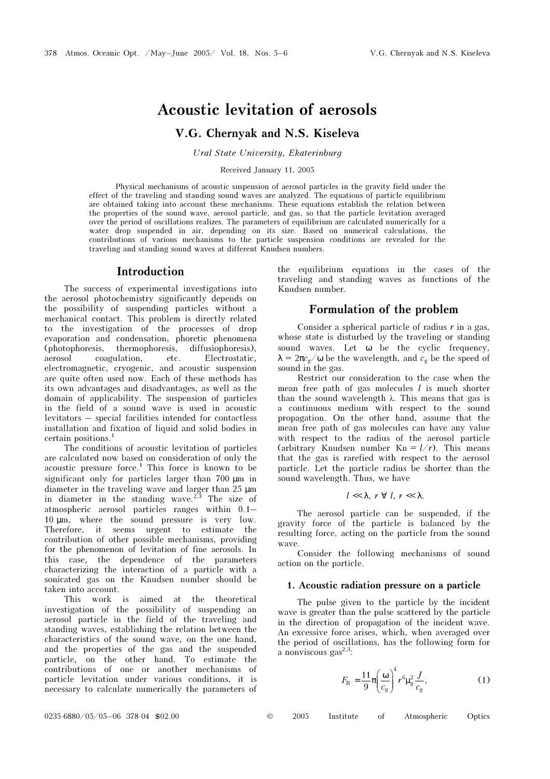# Acoustic levitation of aerosols

## V.G. Chernyak and N.S. Kiseleva

Ural State University, Ekaterinburg

#### Received January 11, 2005

Physical mechanisms of acoustic suspension of aerosol particles in the gravity field under the effect of the traveling and standing sound waves are analyzed. The equations of particle equilibrium are obtained taking into account these mechanisms. These equations establish the relation between the properties of the sound wave, aerosol particle, and gas, so that the particle levitation averaged over the period of oscillations realizes. The parameters of equilibrium are calculated numerically for a water drop suspended in air, depending on its size. Based on numerical calculations, the contributions of various mechanisms to the particle suspension conditions are revealed for the traveling and standing sound waves at different Knudsen numbers.

## Introduction

The success of experimental investigations into the aerosol photochemistry significantly depends on the possibility of suspending particles without a mechanical contact. This problem is directly related to the investigation of the processes of drop evaporation and condensation, phoretic phenomena (photophoresis, thermophoresis, diffusiophoresis), aerosol coagulation, etc. Electrostatic, electromagnetic, cryogenic, and acoustic suspension are quite often used now. Each of these methods has its own advantages and disadvantages, as well as the domain of applicability. The suspension of particles in the field of a sound wave is used in acoustic levitators – special facilities intended for contactless installation and fixation of liquid and solid bodies in certain positions.1

The conditions of acoustic levitation of particles are calculated now based on consideration of only the acoustic pressure force.1 This force is known to be significant only for particles larger than 700  $\mu$ m in diameter in the traveling wave and larger than 25 µm in diameter in the standing wave. $2,3$  The size of atmospheric aerosol particles ranges within 0.1– 10 µm, where the sound pressure is very low. Therefore, it seems urgent to estimate the contribution of other possible mechanisms, providing for the phenomenon of levitation of fine aerosols. In this case, the dependence of the parameters characterizing the interaction of a particle with a sonicated gas on the Knudsen number should be taken into account.

This work is aimed at the theoretical investigation of the possibility of suspending an aerosol particle in the field of the traveling and standing waves, establishing the relation between the characteristics of the sound wave, on the one hand, and the properties of the gas and the suspended particle, on the other hand. To estimate the contributions of one or another mechanisms of particle levitation under various conditions, it is necessary to calculate numerically the parameters of the equilibrium equations in the cases of the traveling and standing waves as functions of the Knudsen number.

## Formulation of the problem

Consider a spherical particle of radius  $r$  in a gas, whose state is disturbed by the traveling or standing sound waves. Let ω be the cyclic frequency,  $\lambda = 2\pi c_g/\omega$  be the wavelength, and  $c_g$  be the speed of sound in the gas.

Restrict our consideration to the case when the mean free path of gas molecules  $l$  is much shorter than the sound wavelength  $\lambda$ . This means that gas is a continuous medium with respect to the sound propagation. On the other hand, assume that the mean free path of gas molecules can have any value with respect to the radius of the aerosol particle (arbitrary Knudsen number  $Kn = l/r$ ). This means that the gas is rarefied with respect to the aerosol particle. Let the particle radius be shorter than the sound wavelength. Thus, we have

$$
l\ll\lambda,\ r\ \forall\ l,\ r\ll\lambda.
$$

The aerosol particle can be suspended, if the gravity force of the particle is balanced by the resulting force, acting on the particle from the sound wave.

Consider the following mechanisms of sound action on the particle.

#### 1. Acoustic radiation pressure on a particle

The pulse given to the particle by the incident wave is greater than the pulse scattered by the particle in the direction of propagation of the incident wave. An excessive force arises, which, when averaged over the period of oscillations, has the following form for a nonviscous gas $^{2,3}$ :

$$
F_{\rm R} = \frac{11}{9} \pi \left(\frac{\omega}{c_{\rm g}}\right)^4 r^6 \mu_g^2 \frac{J}{c_g},\tag{1}
$$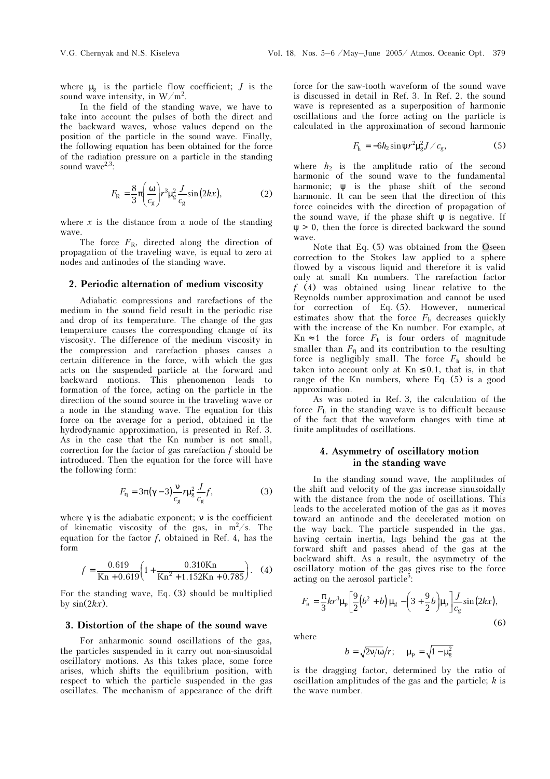where  $\mu_{\sigma}$  is the particle flow coefficient; *J* is the sound wave intensity, in  $W/m^2$ .

In the field of the standing wave, we have to take into account the pulses of both the direct and the backward waves, whose values depend on the position of the particle in the sound wave. Finally, the following equation has been obtained for the force of the radiation pressure on a particle in the standing sound wave $2,3$ :

$$
F_{\rm R} = \frac{8}{3} \pi \left( \frac{\omega}{c_g} \right) r^3 \mu_g^2 \frac{J}{c_g} \sin(2kx), \tag{2}
$$

where  $x$  is the distance from a node of the standing wave.

The force  $F_R$ , directed along the direction of propagation of the traveling wave, is equal to zero at nodes and antinodes of the standing wave.

#### 2. Periodic alternation of medium viscosity

Adiabatic compressions and rarefactions of the medium in the sound field result in the periodic rise and drop of its temperature. The change of the gas temperature causes the corresponding change of its viscosity. The difference of the medium viscosity in the compression and rarefaction phases causes a certain difference in the force, with which the gas acts on the suspended particle at the forward and backward motions. This phenomenon leads to formation of the force, acting on the particle in the direction of the sound source in the traveling wave or a node in the standing wave. The equation for this force on the average for a period, obtained in the hydrodynamic approximation, is presented in Ref. 3. As in the case that the Kn number is not small, correction for the factor of gas rarefaction  $f$  should be introduced. Then the equation for the force will have the following form:

$$
F_{\eta} = 3\pi(\gamma - 3)\frac{v}{c_g}r\mu_g^2 \frac{J}{c_g}f,\tag{3}
$$

where  $\gamma$  is the adiabatic exponent;  $\nu$  is the coefficient of kinematic viscosity of the gas, in  $m^2/s$ . The equation for the factor  $f$ , obtained in Ref. 4, has the form

$$
f = \frac{0.619}{\text{Kn} + 0.619} \left( 1 + \frac{0.310 \text{Kn}}{\text{Kn}^2 + 1.152 \text{Kn} + 0.785} \right). \quad (4)
$$

For the standing wave, Eq. (3) should be multiplied by  $sin(2kx)$ .

#### 3. Distortion of the shape of the sound wave

For anharmonic sound oscillations of the gas, the particles suspended in it carry out non-sinusoidal oscillatory motions. As this takes place, some force arises, which shifts the equilibrium position, with respect to which the particle suspended in the gas oscillates. The mechanism of appearance of the drift

force for the saw-tooth waveform of the sound wave is discussed in detail in Ref. 3. In Ref. 2, the sound wave is represented as a superposition of harmonic oscillations and the force acting on the particle is calculated in the approximation of second harmonic

$$
F_{\rm h} = -6h_2\sin\psi r^2\mu_{\rm g}^2J/c_{\rm g},\qquad(5)
$$

where  $h_2$  is the amplitude ratio of the second harmonic of the sound wave to the fundamental harmonic; ψ is the phase shift of the second harmonic. It can be seen that the direction of this force coincides with the direction of propagation of the sound wave, if the phase shift  $\psi$  is negative. If  $\psi > 0$ , then the force is directed backward the sound wave.

Note that Eq. (5) was obtained from the Oseen correction to the Stokes law applied to a sphere flowed by a viscous liquid and therefore it is valid only at small Kn numbers. The rarefaction factor f (4) was obtained using linear relative to the Reynolds number approximation and cannot be used for correction of Eq. (5). However, numerical estimates show that the force  $F<sub>h</sub>$  decreases quickly with the increase of the Kn number. For example, at Kn  $\approx$  1 the force  $F_h$  is four orders of magnitude smaller than  $F_n$  and its contribution to the resulting force is negligibly small. The force  $F<sub>h</sub>$  should be taken into account only at  $Kn \leq 0.1$ , that is, in that range of the Kn numbers, where Eq. (5) is a good approximation.

As was noted in Ref. 3, the calculation of the force  $F<sub>h</sub>$  in the standing wave is to difficult because of the fact that the waveform changes with time at finite amplitudes of oscillations.

### 4. Asymmetry of oscillatory motion in the standing wave

In the standing sound wave, the amplitudes of the shift and velocity of the gas increase sinusoidally with the distance from the node of oscillations. This leads to the accelerated motion of the gas as it moves toward an antinode and the decelerated motion on the way back. The particle suspended in the gas, having certain inertia, lags behind the gas at the forward shift and passes ahead of the gas at the backward shift. As a result, the asymmetry of the oscillatory motion of the gas gives rise to the force acting on the aerosol particle<sup>5</sup>:

$$
F_{\rm a} = \frac{\pi}{3} k r^3 \mu_{\rm p} \bigg[ \frac{9}{2} (b^2 + b) \mu_{\rm g} - \bigg( 3 + \frac{9}{2} b \bigg) \mu_{\rm p} \bigg] \frac{J}{c_{\rm g}} \sin(2kx),\tag{6}
$$

where

$$
b = \sqrt{2v/\omega}/r; \quad \mu_{\rm p} = \sqrt{1 - \mu_{\rm g}^2}
$$

is the dragging factor, determined by the ratio of oscillation amplitudes of the gas and the particle;  $k$  is the wave number.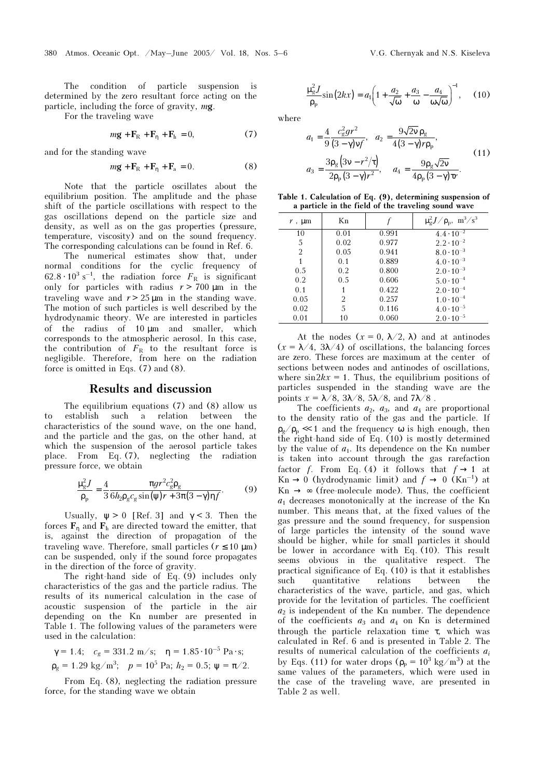The condition of particle suspension is determined by the zero resultant force acting on the particle, including the force of gravity, mg.

For the traveling wave

$$
m\mathbf{g} + \mathbf{F}_{\rm R} + \mathbf{F}_{\rm n} + \mathbf{F}_{\rm h} = 0, \tag{7}
$$

and for the standing wave

$$
m\mathbf{g} + \mathbf{F}_{\rm R} + \mathbf{F}_{\rm \eta} + \mathbf{F}_{\rm a} = 0. \tag{8}
$$

Note that the particle oscillates about the equilibrium position. The amplitude and the phase shift of the particle oscillations with respect to the gas oscillations depend on the particle size and density, as well as on the gas properties (pressure, temperature, viscosity) and on the sound frequency. The corresponding calculations can be found in Ref. 6.

The numerical estimates show that, under normal conditions for the cyclic frequency of  $62.8 \cdot 10^{3}$  s<sup>-1</sup>, the radiation force  $F_R$  is significant only for particles with radius  $r > 700$  up in the only for particles with radius  $r > 700 \mu m$  in the traveling wave and  $r > 25 \mu m$  in the standing wave. The motion of such particles is well described by the hydrodynamic theory. We are interested in particles of the radius of 10 µm and smaller, which corresponds to the atmospheric aerosol. In this case, the contribution of  $F_R$  to the resultant force is negligible. Therefore, from here on the radiation force is omitted in Eqs. (7) and (8).

#### Results and discussion

The equilibrium equations (7) and (8) allow us to establish such a relation between the characteristics of the sound wave, on the one hand, and the particle and the gas, on the other hand, at which the suspension of the aerosol particle takes place. From Eq. (7), neglecting the radiation pressure force, we obtain

$$
\frac{\mu_g^2 J}{\rho_p} = \frac{4}{3} \frac{\pi g r^2 c_g^2 \rho_g}{6h_2 \rho_g c_g \sin(\psi) r + 3\pi (3 - \gamma) \eta f}.
$$
 (9)

Usually,  $\psi > 0$  [Ref. 3] and  $\gamma < 3$ . Then the forces  $\mathbf{F}_n$  and  $\mathbf{F}_h$  are directed toward the emitter, that is, against the direction of propagation of the traveling wave. Therefore, small particles ( $r \leq 10 \text{ }\mu\text{m}$ ) can be suspended, only if the sound force propagates in the direction of the force of gravity.

The right-hand side of Eq.  $(\dot{9})$  includes only characteristics of the gas and the particle radius. The results of its numerical calculation in the case of acoustic suspension of the particle in the air depending on the Kn number are presented in Table 1. The following values of the parameters were used in the calculation:

$$
\gamma = 1.4;
$$
  $c_g = 331.2 \text{ m/s}; \quad \eta = 1.85 \cdot 10^{-5} \text{ Pa} \cdot \text{s};$   
\n $\rho_g = 1.29 \text{ kg/m}^3; \quad p = 10^5 \text{ Pa}; \quad h_2 = 0.5; \ \psi = \pi/2.$ 

From Eq. (8), neglecting the radiation pressure force, for the standing wave we obtain

$$
\frac{\mu_g^2 J}{\rho_p} \sin(2kx) = a_1 \left( 1 + \frac{a_2}{\sqrt{\omega}} + \frac{a_3}{\omega} - \frac{a_4}{\omega \sqrt{\omega}} \right)^{-1}, \quad (10)
$$

where

$$
a_1 = \frac{4}{9} \frac{c_g^2 gr^2}{(3 - \gamma) v f}, \quad a_2 = \frac{9 \sqrt{2} v \rho_g}{4 (3 - \gamma) r \rho_p},
$$
  

$$
a_3 = \frac{3 \rho_g (3v - r^2 / \tau)}{2 \rho_p (3 - \gamma) r^2}, \quad a_4 = \frac{9 \rho_g \sqrt{2} v}{4 \rho_p (3 - \gamma) \tau r}.
$$
 (11)

Table 1. Calculation of Eq. (9), determining suspension of a particle in the field of the traveling sound wave

| Kn   |       | $\mu_g^2 J / \rho_p$ , m <sup>3</sup> /s <sup>3</sup> |
|------|-------|-------------------------------------------------------|
| 0.01 | 0.991 | $4.4 \cdot 10^{-2}$                                   |
| 0.02 | 0.977 | $2.2 \cdot 10^{-2}$                                   |
| 0.05 | 0.941 | $8.0 \cdot 10^{-3}$                                   |
| 0.1  | 0.889 | $4.0 \cdot 10^{-3}$                                   |
| 0.2  | 0.800 | $2.0 \cdot 10^{-3}$                                   |
| 0.5  | 0.606 | $5.0 \cdot 10^{-4}$                                   |
| 1    | 0.422 | $2.0 \cdot 10^{-4}$                                   |
| 2    | 0.257 | $1.0 \cdot 10^{-4}$                                   |
| 5    | 0.116 | $4.0 \cdot 10^{-5}$                                   |
| 10   | 0.060 | $2.0 \cdot 10^{-5}$                                   |
|      |       |                                                       |

At the nodes  $(x = 0, \lambda/2, \lambda)$  and at antinodes  $(x = \lambda/4, 3\lambda/4)$  of oscillations, the balancing forces are zero. These forces are maximum at the center of sections between nodes and antinodes of oscillations, where  $\sin 2kx = 1$ . Thus, the equilibrium positions of particles suspended in the standing wave are the points  $x = \lambda/8$ ,  $3\lambda/8$ ,  $5\lambda/8$ , and  $7\lambda/8$ .

The coefficients  $a_2$ ,  $a_3$ , and  $a_4$  are proportional to the density ratio of the gas and the particle. If  $\rho_{\varrho}/\rho_{\rm p} \ll 1$  and the frequency  $\omega$  is high enough, then the right-hand side of Eq. (10) is mostly determined by the value of  $a_1$ . Its dependence on the Kn number is taken into account through the gas rarefaction factor f. From Eq. (4) it follows that  $f \rightarrow 1$  at  $Kn \to 0$  (hydrodynamic limit) and  $f \to 0$  (Kn<sup>-1</sup>) at  $Kn \rightarrow \infty$  (free-molecule mode). Thus, the coefficient  $a_1$  decreases monotonically at the increase of the Kn number. This means that, at the fixed values of the gas pressure and the sound frequency, for suspension of large particles the intensity of the sound wave should be higher, while for small particles it should be lower in accordance with Eq. (10). This result seems obvious in the qualitative respect. The practical significance of Eq. (10) is that it establishes such quantitative relations between the characteristics of the wave, particle, and gas, which provide for the levitation of particles. The coefficient  $a_2$  is independent of the Kn number. The dependence of the coefficients  $a_3$  and  $a_4$  on Kn is determined through the particle relaxation time  $\tau$ , which was calculated in Ref. 6 and is presented in Table 2. The results of numerical calculation of the coefficients  $a_i$ by Eqs. (11) for water drops  $(\rho_p = 10^3 \text{ kg/m}^3)$  at the same values of the parameters, which were used in the case of the traveling wave, are presented in Table 2 as well.